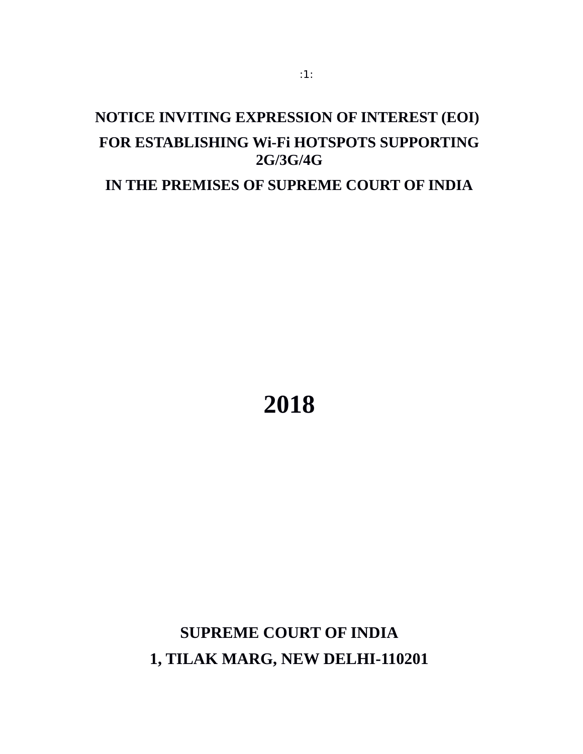# **NOTICE INVITING EXPRESSION OF INTEREST (EOI) FOR ESTABLISHING Wi-Fi HOTSPOTS SUPPORTING 2G/3G/4G**

**IN THE PREMISES OF SUPREME COURT OF INDIA**

**2018**

**SUPREME COURT OF INDIA 1, TILAK MARG, NEW DELHI-110201**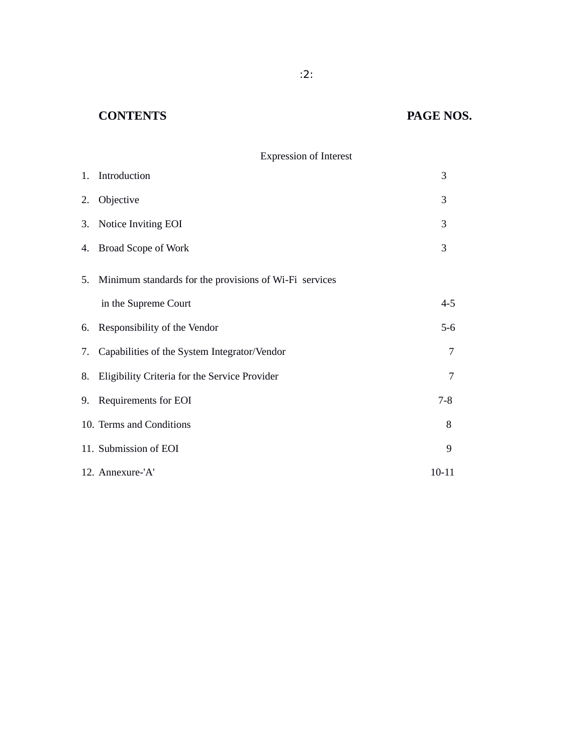## **CONTENTS PAGE NOS.**

## Expression of Interest

| 1. Introduction                                           | 3         |
|-----------------------------------------------------------|-----------|
| 2. Objective                                              | 3         |
| 3. Notice Inviting EOI                                    | 3         |
| 4. Broad Scope of Work                                    | 3         |
| 5. Minimum standards for the provisions of Wi-Fi services |           |
| in the Supreme Court                                      | $4 - 5$   |
| 6. Responsibility of the Vendor                           | $5-6$     |
| 7. Capabilities of the System Integrator/Vendor           | 7         |
| 8. Eligibility Criteria for the Service Provider          | 7         |
| 9. Requirements for EOI                                   | $7 - 8$   |
| 10. Terms and Conditions                                  | 8         |
| 11. Submission of EOI                                     | 9         |
| 12. Annexure-'A'                                          | $10 - 11$ |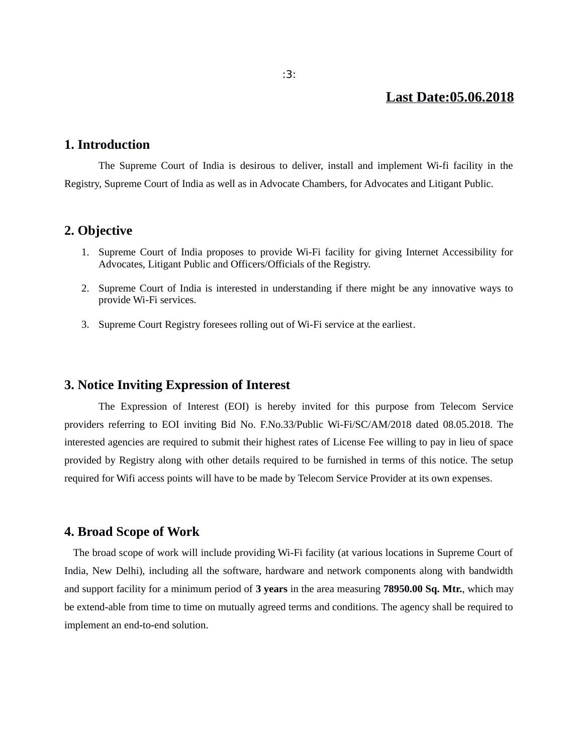### **Last Date:05.06.2018**

#### **1. Introduction**

The Supreme Court of India is desirous to deliver, install and implement Wi-fi facility in the Registry, Supreme Court of India as well as in Advocate Chambers, for Advocates and Litigant Public.

#### **2. Objective**

- 1. Supreme Court of India proposes to provide Wi-Fi facility for giving Internet Accessibility for Advocates, Litigant Public and Officers/Officials of the Registry.
- 2. Supreme Court of India is interested in understanding if there might be any innovative ways to provide Wi-Fi services.
- 3. Supreme Court Registry foresees rolling out of Wi-Fi service at the earliest.

#### **3. Notice Inviting Expression of Interest**

The Expression of Interest (EOI) is hereby invited for this purpose from Telecom Service providers referring to EOI inviting Bid No. F.No.33/Public Wi-Fi/SC/AM/2018 dated 08.05.2018. The interested agencies are required to submit their highest rates of License Fee willing to pay in lieu of space provided by Registry along with other details required to be furnished in terms of this notice. The setup required for Wifi access points will have to be made by Telecom Service Provider at its own expenses.

#### **4. Broad Scope of Work**

 The broad scope of work will include providing Wi-Fi facility (at various locations in Supreme Court of India, New Delhi), including all the software, hardware and network components along with bandwidth and support facility for a minimum period of **3 years** in the area measuring **78950.00 Sq. Mtr.**, which may be extend-able from time to time on mutually agreed terms and conditions. The agency shall be required to implement an end-to-end solution.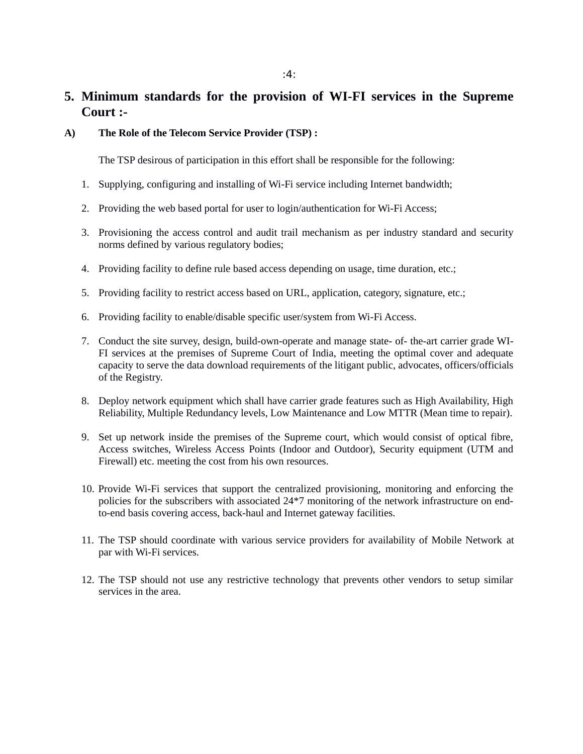## **5. Minimum standards for the provision of WI-FI services in the Supreme Court :-**

**A) The Role of the Telecom Service Provider (TSP) :** 

The TSP desirous of participation in this effort shall be responsible for the following:

- 1. Supplying, configuring and installing of Wi-Fi service including Internet bandwidth;
- 2. Providing the web based portal for user to login/authentication for Wi-Fi Access;
- 3. Provisioning the access control and audit trail mechanism as per industry standard and security norms defined by various regulatory bodies;
- 4. Providing facility to define rule based access depending on usage, time duration, etc.;
- 5. Providing facility to restrict access based on URL, application, category, signature, etc.;
- 6. Providing facility to enable/disable specific user/system from Wi-Fi Access.
- 7. Conduct the site survey, design, build-own-operate and manage state- of- the-art carrier grade WI-FI services at the premises of Supreme Court of India, meeting the optimal cover and adequate capacity to serve the data download requirements of the litigant public, advocates, officers/officials of the Registry.
- 8. Deploy network equipment which shall have carrier grade features such as High Availability, High Reliability, Multiple Redundancy levels, Low Maintenance and Low MTTR (Mean time to repair).
- 9. Set up network inside the premises of the Supreme court, which would consist of optical fibre, Access switches, Wireless Access Points (Indoor and Outdoor), Security equipment (UTM and Firewall) etc. meeting the cost from his own resources.
- 10. Provide Wi-Fi services that support the centralized provisioning, monitoring and enforcing the policies for the subscribers with associated 24\*7 monitoring of the network infrastructure on endto-end basis covering access, back-haul and Internet gateway facilities.
- 11. The TSP should coordinate with various service providers for availability of Mobile Network at par with Wi-Fi services.
- 12. The TSP should not use any restrictive technology that prevents other vendors to setup similar services in the area.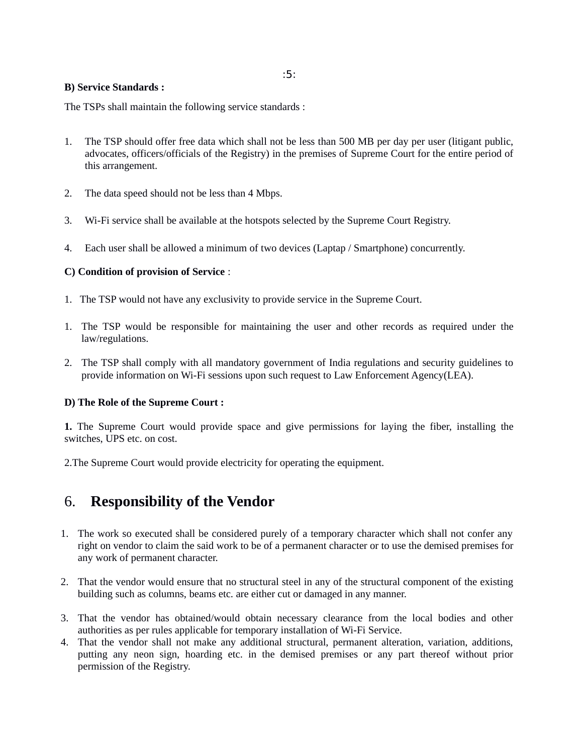:5:

#### **B) Service Standards :**

The TSPs shall maintain the following service standards :

- 1. The TSP should offer free data which shall not be less than 500 MB per day per user (litigant public, advocates, officers/officials of the Registry) in the premises of Supreme Court for the entire period of this arrangement.
- 2. The data speed should not be less than 4 Mbps.
- 3. Wi-Fi service shall be available at the hotspots selected by the Supreme Court Registry.
- 4. Each user shall be allowed a minimum of two devices (Laptap / Smartphone) concurrently.

#### **C) Condition of provision of Service** :

- 1. The TSP would not have any exclusivity to provide service in the Supreme Court.
- 1. The TSP would be responsible for maintaining the user and other records as required under the law/regulations.
- 2. The TSP shall comply with all mandatory government of India regulations and security guidelines to provide information on Wi-Fi sessions upon such request to Law Enforcement Agency(LEA).

#### **D) The Role of the Supreme Court :**

**1.** The Supreme Court would provide space and give permissions for laying the fiber, installing the switches, UPS etc. on cost.

2.The Supreme Court would provide electricity for operating the equipment.

## 6. **Responsibility of the Vendor**

- 1. The work so executed shall be considered purely of a temporary character which shall not confer any right on vendor to claim the said work to be of a permanent character or to use the demised premises for any work of permanent character.
- 2. That the vendor would ensure that no structural steel in any of the structural component of the existing building such as columns, beams etc. are either cut or damaged in any manner.
- 3. That the vendor has obtained/would obtain necessary clearance from the local bodies and other authorities as per rules applicable for temporary installation of Wi-Fi Service.
- 4. That the vendor shall not make any additional structural, permanent alteration, variation, additions, putting any neon sign, hoarding etc. in the demised premises or any part thereof without prior permission of the Registry.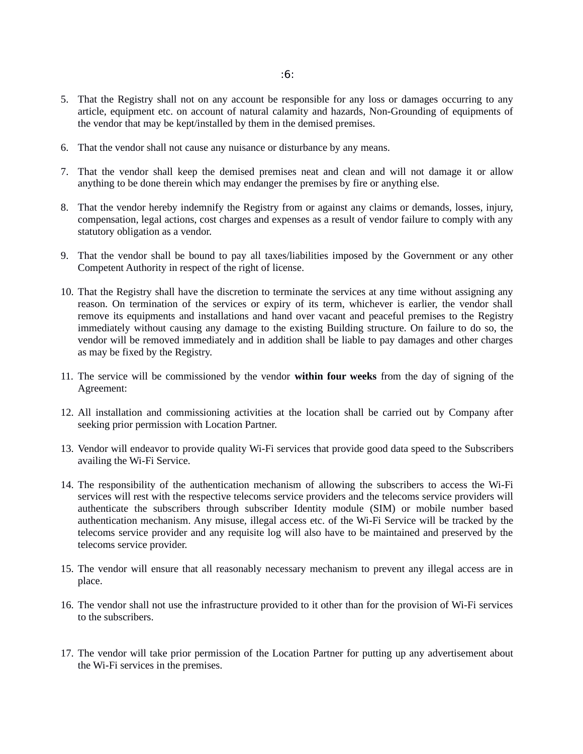- 5. That the Registry shall not on any account be responsible for any loss or damages occurring to any article, equipment etc. on account of natural calamity and hazards, Non-Grounding of equipments of the vendor that may be kept/installed by them in the demised premises.
- 6. That the vendor shall not cause any nuisance or disturbance by any means.
- 7. That the vendor shall keep the demised premises neat and clean and will not damage it or allow anything to be done therein which may endanger the premises by fire or anything else.
- 8. That the vendor hereby indemnify the Registry from or against any claims or demands, losses, injury, compensation, legal actions, cost charges and expenses as a result of vendor failure to comply with any statutory obligation as a vendor.
- 9. That the vendor shall be bound to pay all taxes/liabilities imposed by the Government or any other Competent Authority in respect of the right of license.
- 10. That the Registry shall have the discretion to terminate the services at any time without assigning any reason. On termination of the services or expiry of its term, whichever is earlier, the vendor shall remove its equipments and installations and hand over vacant and peaceful premises to the Registry immediately without causing any damage to the existing Building structure. On failure to do so, the vendor will be removed immediately and in addition shall be liable to pay damages and other charges as may be fixed by the Registry.
- 11. The service will be commissioned by the vendor **within four weeks** from the day of signing of the Agreement:
- 12. All installation and commissioning activities at the location shall be carried out by Company after seeking prior permission with Location Partner.
- 13. Vendor will endeavor to provide quality Wi-Fi services that provide good data speed to the Subscribers availing the Wi-Fi Service.
- 14. The responsibility of the authentication mechanism of allowing the subscribers to access the Wi-Fi services will rest with the respective telecoms service providers and the telecoms service providers will authenticate the subscribers through subscriber Identity module (SIM) or mobile number based authentication mechanism. Any misuse, illegal access etc. of the Wi-Fi Service will be tracked by the telecoms service provider and any requisite log will also have to be maintained and preserved by the telecoms service provider.
- 15. The vendor will ensure that all reasonably necessary mechanism to prevent any illegal access are in place.
- 16. The vendor shall not use the infrastructure provided to it other than for the provision of Wi-Fi services to the subscribers.
- 17. The vendor will take prior permission of the Location Partner for putting up any advertisement about the Wi-Fi services in the premises.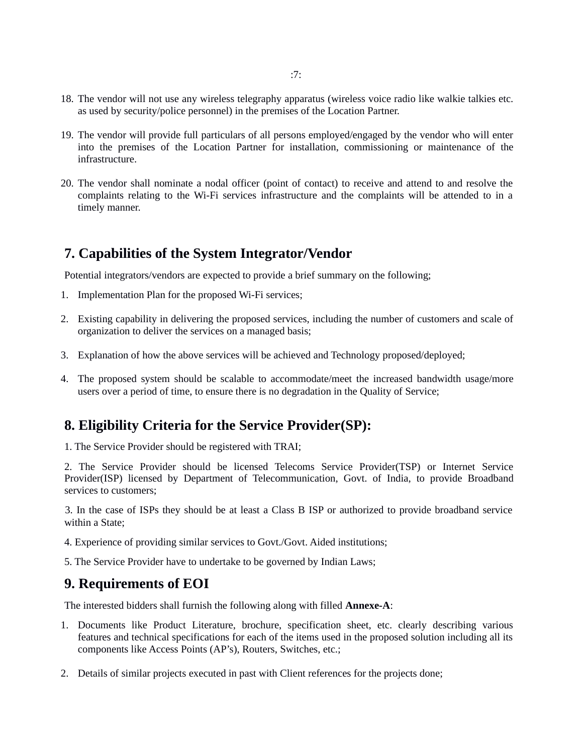- 18. The vendor will not use any wireless telegraphy apparatus (wireless voice radio like walkie talkies etc. as used by security/police personnel) in the premises of the Location Partner.
- 19. The vendor will provide full particulars of all persons employed/engaged by the vendor who will enter into the premises of the Location Partner for installation, commissioning or maintenance of the infrastructure.
- 20. The vendor shall nominate a nodal officer (point of contact) to receive and attend to and resolve the complaints relating to the Wi-Fi services infrastructure and the complaints will be attended to in a timely manner.

## **7. Capabilities of the System Integrator/Vendor**

Potential integrators/vendors are expected to provide a brief summary on the following;

- 1. Implementation Plan for the proposed Wi-Fi services;
- 2. Existing capability in delivering the proposed services, including the number of customers and scale of organization to deliver the services on a managed basis;
- 3. Explanation of how the above services will be achieved and Technology proposed/deployed;
- 4. The proposed system should be scalable to accommodate/meet the increased bandwidth usage/more users over a period of time, to ensure there is no degradation in the Quality of Service;

## **8. Eligibility Criteria for the Service Provider(SP):**

1. The Service Provider should be registered with TRAI;

 2. The Service Provider should be licensed Telecoms Service Provider(TSP) or Internet Service Provider(ISP) licensed by Department of Telecommunication, Govt. of India, to provide Broadband services to customers;

 3. In the case of ISPs they should be at least a Class B ISP or authorized to provide broadband service within a State;

- 4. Experience of providing similar services to Govt./Govt. Aided institutions;
- 5. The Service Provider have to undertake to be governed by Indian Laws;

### **9. Requirements of EOI**

The interested bidders shall furnish the following along with filled **Annexe-A**:

- 1. Documents like Product Literature, brochure, specification sheet, etc. clearly describing various features and technical specifications for each of the items used in the proposed solution including all its components like Access Points (AP's), Routers, Switches, etc.;
- 2. Details of similar projects executed in past with Client references for the projects done;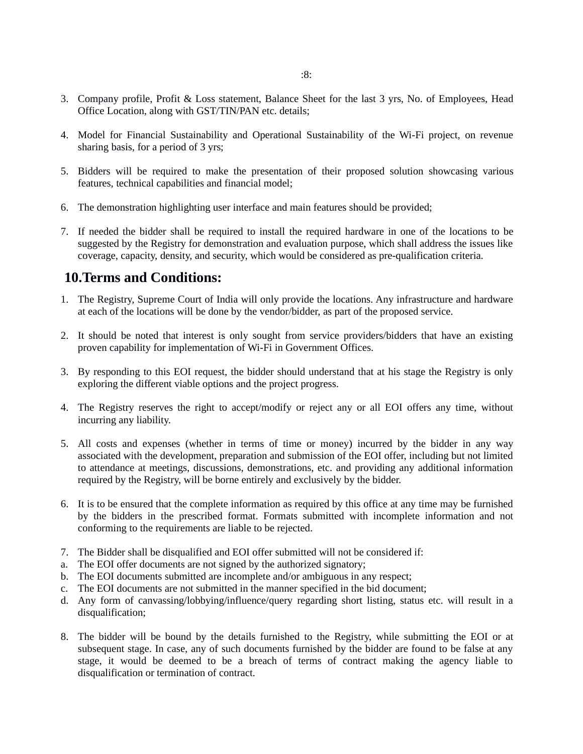- 3. Company profile, Profit & Loss statement, Balance Sheet for the last 3 yrs, No. of Employees, Head Office Location, along with GST/TIN/PAN etc. details;
- 4. Model for Financial Sustainability and Operational Sustainability of the Wi-Fi project, on revenue sharing basis, for a period of 3 yrs;
- 5. Bidders will be required to make the presentation of their proposed solution showcasing various features, technical capabilities and financial model;
- 6. The demonstration highlighting user interface and main features should be provided;
- 7. If needed the bidder shall be required to install the required hardware in one of the locations to be suggested by the Registry for demonstration and evaluation purpose, which shall address the issues like coverage, capacity, density, and security, which would be considered as pre-qualification criteria.

## **10.Terms and Conditions:**

- 1. The Registry, Supreme Court of India will only provide the locations. Any infrastructure and hardware at each of the locations will be done by the vendor/bidder, as part of the proposed service.
- 2. It should be noted that interest is only sought from service providers/bidders that have an existing proven capability for implementation of Wi-Fi in Government Offices.
- 3. By responding to this EOI request, the bidder should understand that at his stage the Registry is only exploring the different viable options and the project progress.
- 4. The Registry reserves the right to accept/modify or reject any or all EOI offers any time, without incurring any liability.
- 5. All costs and expenses (whether in terms of time or money) incurred by the bidder in any way associated with the development, preparation and submission of the EOI offer, including but not limited to attendance at meetings, discussions, demonstrations, etc. and providing any additional information required by the Registry, will be borne entirely and exclusively by the bidder.
- 6. It is to be ensured that the complete information as required by this office at any time may be furnished by the bidders in the prescribed format. Formats submitted with incomplete information and not conforming to the requirements are liable to be rejected.
- 7. The Bidder shall be disqualified and EOI offer submitted will not be considered if:
- a. The EOI offer documents are not signed by the authorized signatory;
- b. The EOI documents submitted are incomplete and/or ambiguous in any respect;
- c. The EOI documents are not submitted in the manner specified in the bid document;
- d. Any form of canvassing/lobbying/influence/query regarding short listing, status etc. will result in a disqualification;
- 8. The bidder will be bound by the details furnished to the Registry, while submitting the EOI or at subsequent stage. In case, any of such documents furnished by the bidder are found to be false at any stage, it would be deemed to be a breach of terms of contract making the agency liable to disqualification or termination of contract.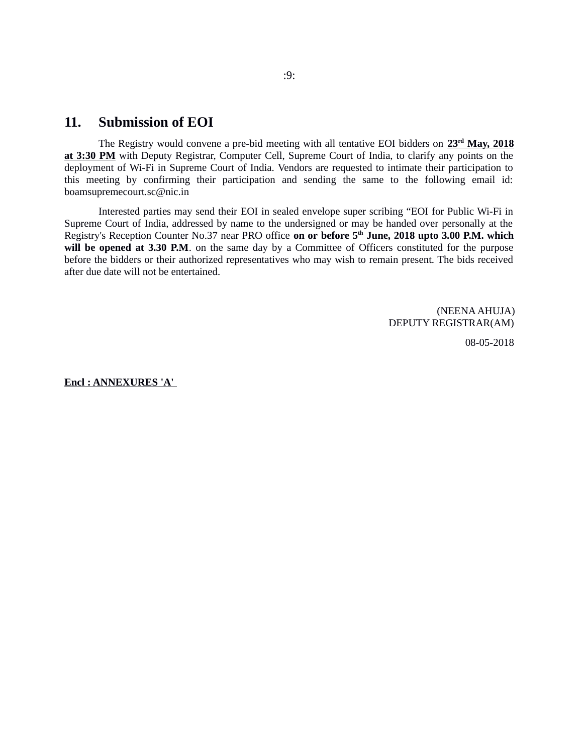## **11. Submission of EOI**

The Registry would convene a pre-bid meeting with all tentative EOI bidders on **23rd May, 2018 at 3:30 PM** with Deputy Registrar, Computer Cell, Supreme Court of India, to clarify any points on the deployment of Wi-Fi in Supreme Court of India. Vendors are requested to intimate their participation to this meeting by confirming their participation and sending the same to the following email id: boamsupremecourt.sc@nic.in

Interested parties may send their EOI in sealed envelope super scribing "EOI for Public Wi-Fi in Supreme Court of India, addressed by name to the undersigned or may be handed over personally at the Registry's Reception Counter No.37 near PRO office **on or before 5th June, 2018 upto 3.00 P.M. which** will be opened at 3.30 P.M. on the same day by a Committee of Officers constituted for the purpose before the bidders or their authorized representatives who may wish to remain present. The bids received after due date will not be entertained.

> (NEENA AHUJA) DEPUTY REGISTRAR(AM)

> > 08-05-2018

**Encl : ANNEXURES 'A'**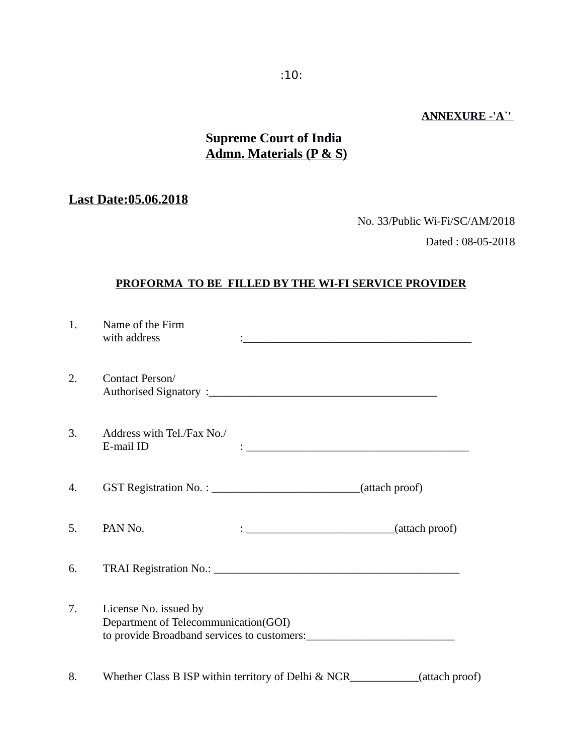## **ANNEXURE -'A`'**

## **Supreme Court of India Admn. Materials (P & S)**

## **Last Date:05.06.2018**

No. 33/Public Wi-Fi/SC/AM/2018

Dated : 08-05-2018

#### **PROFORMA TO BE FILLED BY THE WI-FI SERVICE PROVIDER**

| 1. | Name of the Firm<br>with address                                              |                                                             |  |
|----|-------------------------------------------------------------------------------|-------------------------------------------------------------|--|
| 2. | Contact Person/                                                               |                                                             |  |
| 3. | Address with Tel./Fax No./<br>E-mail ID                                       | <u> 1980 - Andrea Barbara, amerikan personal (h. 1980).</u> |  |
| 4. | GST Registration No. : ________________________________(attach proof)         |                                                             |  |
| 5. | PAN No.                                                                       | $\frac{1}{2}$ (attach proof)                                |  |
| 6. |                                                                               |                                                             |  |
| 7. | License No. issued by<br>Department of Telecommunication(GOI)                 |                                                             |  |
| 8. | Whether Class B ISP within territory of Delhi & NCR____________(attach proof) |                                                             |  |